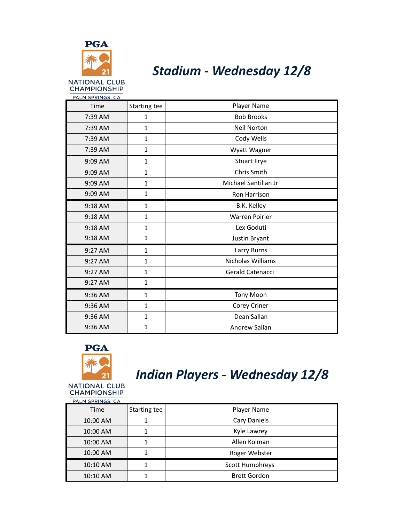

#### *Stadium - Wednesday 12/8*

| PALM SPRINGS, CA |              |                      |
|------------------|--------------|----------------------|
| Time             | Starting tee | Player Name          |
| 7:39 AM          | $\mathbf{1}$ | <b>Bob Brooks</b>    |
| 7:39 AM          | $\mathbf{1}$ | <b>Neil Norton</b>   |
| 7:39 AM          | $\mathbf{1}$ | Cody Wells           |
| 7:39 AM          | $\mathbf{1}$ | Wyatt Wagner         |
| 9:09 AM          | $\mathbf{1}$ | <b>Stuart Frye</b>   |
| 9:09 AM          | $\mathbf{1}$ | Chris Smith          |
| 9:09 AM          | $\mathbf{1}$ | Michael Santillan Jr |
| 9:09 AM          | $\mathbf{1}$ | Ron Harrison         |
| 9:18 AM          | $\mathbf{1}$ | B.K. Kelley          |
| 9:18 AM          | $\mathbf{1}$ | Warren Poirier       |
| 9:18 AM          | $\mathbf{1}$ | Lex Goduti           |
| 9:18 AM          | $\mathbf{1}$ | Justin Bryant        |
| 9:27 AM          | $\mathbf{1}$ | Larry Burns          |
| 9:27 AM          | $\mathbf{1}$ | Nicholas Williams    |
| 9:27 AM          | $\mathbf{1}$ | Gerald Catenacci     |
| 9:27 AM          | $\mathbf{1}$ |                      |
| 9:36 AM          | $\mathbf{1}$ | <b>Tony Moon</b>     |
| 9:36 AM          | $\mathbf{1}$ | Corey Criner         |
| 9:36 AM          | $\mathbf{1}$ | Dean Sallan          |
| 9:36 AM          | $\mathbf{1}$ | Andrew Sallan        |



**CHAMPIONSHIP** 

### *Indian Players - Wednesday 12/8*

| PALM SPRINGS, CA |              |                        |
|------------------|--------------|------------------------|
| Time             | Starting tee | Player Name            |
| 10:00 AM         | 1            | Cary Daniels           |
| 10:00 AM         | 1            | Kyle Lawrey            |
| 10:00 AM         | 1            | Allen Kolman           |
| 10:00 AM         |              | Roger Webster          |
| 10:10 AM         |              | <b>Scott Humphreys</b> |
| 10:10 AM         |              | <b>Brett Gordon</b>    |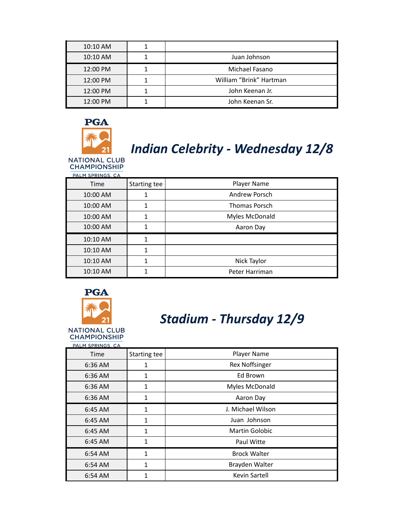| 10:10 AM |                         |
|----------|-------------------------|
| 10:10 AM | Juan Johnson            |
| 12:00 PM | Michael Fasano          |
| 12:00 PM | William "Brink" Hartman |
| 12:00 PM | John Keenan Jr.         |
| 12:00 PM | John Keenan Sr.         |



# *Indian Celebrity - Wednesday 12/8*

NATIONAL CLUB<br>CHAMPIONSHIP

| PALM SPRINGS, CA |              |                      |
|------------------|--------------|----------------------|
| Time             | Starting tee | Player Name          |
| 10:00 AM         |              | Andrew Porsch        |
| 10:00 AM         |              | <b>Thomas Porsch</b> |
| 10:00 AM         |              | Myles McDonald       |
| 10:00 AM         |              | Aaron Day            |
| 10:10 AM         |              |                      |
| 10:10 AM         |              |                      |
| 10:10 AM         |              | Nick Taylor          |
| 10:10 AM         |              | Peter Harriman       |
|                  |              |                      |



### *Stadium - Thursday 12/9*

**NATIONAL CLUB CHAMPIONSHIP PALM SPRINGS, CA** 

| <b>PALIT SPRINGS, CA</b> |              |                       |
|--------------------------|--------------|-----------------------|
| Time                     | Starting tee | Player Name           |
| 6:36 AM                  | 1            | Rex Noffsinger        |
| 6:36 AM                  | 1            | Ed Brown              |
| 6:36 AM                  | 1            | Myles McDonald        |
| 6:36 AM                  | 1            | Aaron Day             |
| 6:45 AM                  | 1            | J. Michael Wilson     |
| 6:45 AM                  | 1            | Juan Johnson          |
| 6:45 AM                  | 1            | <b>Martin Golobic</b> |
| 6:45 AM                  | 1            | Paul Witte            |
| 6:54 AM                  | 1            | <b>Brock Walter</b>   |
| 6:54 AM                  | 1            | Brayden Walter        |
| 6:54 AM                  | 1            | Kevin Sartell         |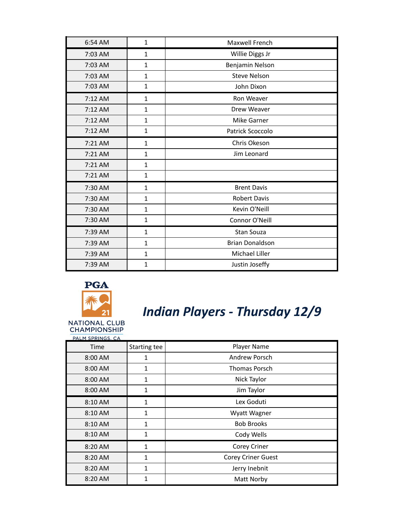| 6:54 AM   | $\mathbf{1}$ | Maxwell French         |
|-----------|--------------|------------------------|
| 7:03 AM   | $\mathbf{1}$ | Willie Diggs Jr        |
| 7:03 AM   | $\mathbf{1}$ | Benjamin Nelson        |
| 7:03 AM   | $\mathbf{1}$ | <b>Steve Nelson</b>    |
| 7:03 AM   | $\mathbf{1}$ | John Dixon             |
| 7:12 AM   | $\mathbf{1}$ | Ron Weaver             |
| 7:12 AM   | $\mathbf{1}$ | Drew Weaver            |
| 7:12 AM   | $\mathbf{1}$ | Mike Garner            |
| 7:12 AM   | $\mathbf{1}$ | Patrick Scoccolo       |
| $7:21$ AM | $\mathbf{1}$ | Chris Okeson           |
| 7:21 AM   | $\mathbf{1}$ | Jim Leonard            |
| 7:21 AM   | $\mathbf{1}$ |                        |
| 7:21 AM   | $\mathbf{1}$ |                        |
| 7:30 AM   | $\mathbf{1}$ | <b>Brent Davis</b>     |
| 7:30 AM   | $\mathbf{1}$ | <b>Robert Davis</b>    |
| 7:30 AM   | 1            | Kevin O'Neill          |
| 7:30 AM   | $\mathbf{1}$ | Connor O'Neill         |
| 7:39 AM   | $\mathbf{1}$ | Stan Souza             |
| 7:39 AM   | $\mathbf{1}$ | <b>Brian Donaldson</b> |
| 7:39 AM   | $\mathbf{1}$ | Michael Liller         |
| 7:39 AM   | 1            | Justin Joseffy         |



### *Indian Players - Thursday 12/9*

PALM SPRINGS, CA Time Starting tee | Starting tee Player Name 8:00 AM 1 1 Andrew Porsch 8:00 AM 1 1 | Thomas Porsch 8:00 AM 1 1 Nick Taylor 8:00 AM 1 1 Jim Taylor 8:10 AM 1 1 Lex Goduti 8:10 AM 1 1 Wyatt Wagner 8:10 AM 1 1 Bob Brooks 8:10 AM 1 1 Cody Wells 8:20 AM 1 1 Corey Criner 8:20 AM 1 1 Corey Criner Guest 8:20 AM 1 1 Jerry Inebnit 8:20 AM 1 1 Matt Norby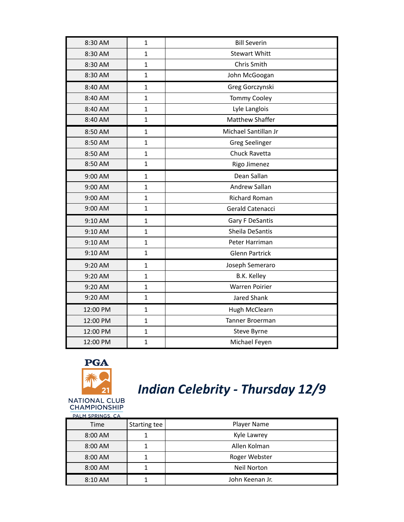| 8:30 AM  | $\mathbf{1}$ | <b>Bill Severin</b>   |
|----------|--------------|-----------------------|
| 8:30 AM  | $\mathbf{1}$ | <b>Stewart Whitt</b>  |
| 8:30 AM  | $\mathbf{1}$ | Chris Smith           |
| 8:30 AM  | $\mathbf{1}$ | John McGoogan         |
| 8:40 AM  | $\mathbf{1}$ | Greg Gorczynski       |
| 8:40 AM  | $\mathbf{1}$ | <b>Tommy Cooley</b>   |
| 8:40 AM  | $\mathbf{1}$ | Lyle Langlois         |
| 8:40 AM  | $\mathbf{1}$ | Matthew Shaffer       |
| 8:50 AM  | $\mathbf{1}$ | Michael Santillan Jr  |
| 8:50 AM  | $\mathbf{1}$ | <b>Greg Seelinger</b> |
| 8:50 AM  | $\mathbf{1}$ | Chuck Ravetta         |
| 8:50 AM  | $\mathbf{1}$ | Rigo Jimenez          |
| 9:00 AM  | $\mathbf{1}$ | Dean Sallan           |
| 9:00 AM  | $\mathbf{1}$ | Andrew Sallan         |
| 9:00 AM  | $\mathbf{1}$ | <b>Richard Roman</b>  |
| 9:00 AM  | $\mathbf{1}$ | Gerald Catenacci      |
| 9:10 AM  | $\mathbf{1}$ | Gary F DeSantis       |
| 9:10 AM  | $\mathbf{1}$ | Sheila DeSantis       |
| 9:10 AM  | $\mathbf{1}$ | Peter Harriman        |
| 9:10 AM  | $\mathbf{1}$ | <b>Glenn Partrick</b> |
| 9:20 AM  | $\mathbf{1}$ | Joseph Semeraro       |
| 9:20 AM  | $\mathbf{1}$ | <b>B.K. Kelley</b>    |
| 9:20 AM  | $\mathbf{1}$ | <b>Warren Poirier</b> |
| 9:20 AM  | $\mathbf{1}$ | <b>Jared Shank</b>    |
| 12:00 PM | $\mathbf{1}$ | Hugh McClearn         |
| 12:00 PM | $\mathbf{1}$ | Tanner Broerman       |
| 12:00 PM | $\mathbf{1}$ | Steve Byrne           |
| 12:00 PM | $\mathbf{1}$ | Michael Feyen         |



# *Indian Celebrity - Thursday 12/9*

| PALM SPRINGS, CA |              |                    |
|------------------|--------------|--------------------|
| Time             | Starting tee | Player Name        |
| 8:00 AM          |              | Kyle Lawrey        |
| 8:00 AM          |              | Allen Kolman       |
| 8:00 AM          |              | Roger Webster      |
| 8:00 AM          |              | <b>Neil Norton</b> |
| 8:10 AM          |              | John Keenan Jr.    |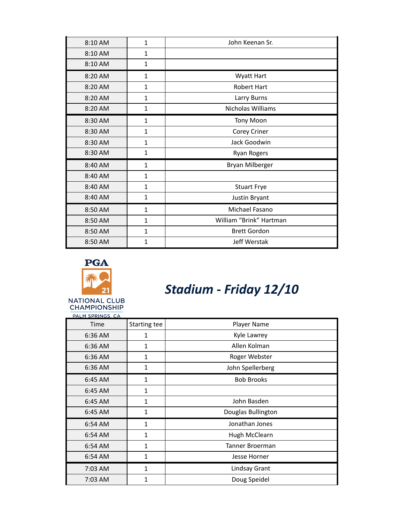| 8:10 AM | $\mathbf{1}$ | John Keenan Sr.         |
|---------|--------------|-------------------------|
| 8:10 AM | $\mathbf{1}$ |                         |
| 8:10 AM | $\mathbf{1}$ |                         |
| 8:20 AM | $\mathbf{1}$ | <b>Wyatt Hart</b>       |
| 8:20 AM | $\mathbf{1}$ | <b>Robert Hart</b>      |
| 8:20 AM | 1            | Larry Burns             |
| 8:20 AM | 1            | Nicholas Williams       |
| 8:30 AM | $\mathbf{1}$ | <b>Tony Moon</b>        |
| 8:30 AM | 1            | Corey Criner            |
| 8:30 AM | 1            | Jack Goodwin            |
| 8:30 AM | $\mathbf{1}$ | <b>Ryan Rogers</b>      |
| 8:40 AM | $\mathbf{1}$ | Bryan Milberger         |
| 8:40 AM | $\mathbf{1}$ |                         |
| 8:40 AM | $\mathbf{1}$ | <b>Stuart Frye</b>      |
| 8:40 AM | $\mathbf{1}$ | Justin Bryant           |
| 8:50 AM | $\mathbf{1}$ | Michael Fasano          |
| 8:50 AM | 1            | William "Brink" Hartman |
| 8:50 AM | $\mathbf{1}$ | <b>Brett Gordon</b>     |
| 8:50 AM | 1            | Jeff Werstak            |



*Stadium - Friday 12/10*

| PALM SPRINGS, CA |              |                    |
|------------------|--------------|--------------------|
| Time             | Starting tee | Player Name        |
| 6:36 AM          | 1            | Kyle Lawrey        |
| 6:36 AM          | $\mathbf{1}$ | Allen Kolman       |
| 6:36 AM          | 1            | Roger Webster      |
| 6:36 AM          | 1            | John Spellerberg   |
| 6:45 AM          | $\mathbf{1}$ | <b>Bob Brooks</b>  |
| 6:45 AM          | 1            |                    |
| 6:45 AM          | $\mathbf{1}$ | John Basden        |
| 6:45 AM          | $\mathbf{1}$ | Douglas Bullington |
| 6:54 AM          | $\mathbf{1}$ | Jonathan Jones     |
| 6:54 AM          | 1            | Hugh McClearn      |
| 6:54 AM          | 1            | Tanner Broerman    |
| 6:54 AM          | 1            | Jesse Horner       |
| 7:03 AM          | 1            | Lindsay Grant      |
| 7:03 AM          | 1            | Doug Speidel       |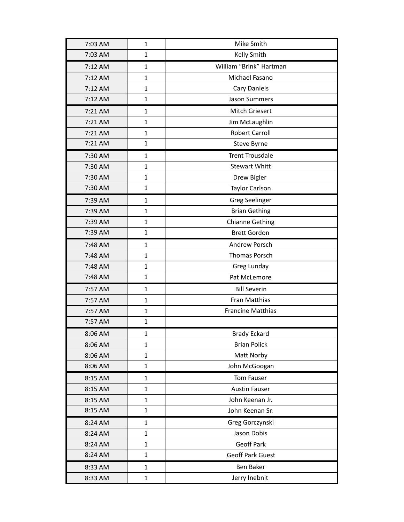| 7:03 AM | $\mathbf{1}$ | Mike Smith               |
|---------|--------------|--------------------------|
| 7:03 AM | $\mathbf{1}$ | Kelly Smith              |
| 7:12 AM | $\mathbf{1}$ | William "Brink" Hartman  |
| 7:12 AM | $\mathbf{1}$ | Michael Fasano           |
| 7:12 AM | $\mathbf{1}$ | Cary Daniels             |
| 7:12 AM | $\mathbf{1}$ | <b>Jason Summers</b>     |
| 7:21 AM | $\mathbf{1}$ | Mitch Griesert           |
| 7:21 AM | 1            | Jim McLaughlin           |
| 7:21 AM | $\mathbf{1}$ | <b>Robert Carroll</b>    |
| 7:21 AM | $\mathbf{1}$ | Steve Byrne              |
| 7:30 AM | $\mathbf{1}$ | <b>Trent Trousdale</b>   |
| 7:30 AM | $\mathbf{1}$ | <b>Stewart Whitt</b>     |
| 7:30 AM | 1            | Drew Bigler              |
| 7:30 AM | $\mathbf{1}$ | <b>Taylor Carlson</b>    |
| 7:39 AM | $\mathbf{1}$ | <b>Greg Seelinger</b>    |
| 7:39 AM | $\mathbf{1}$ | <b>Brian Gething</b>     |
| 7:39 AM | $\mathbf{1}$ | <b>Chianne Gething</b>   |
| 7:39 AM | $\mathbf{1}$ | <b>Brett Gordon</b>      |
| 7:48 AM | $\mathbf{1}$ | Andrew Porsch            |
| 7:48 AM | $\mathbf{1}$ | <b>Thomas Porsch</b>     |
| 7:48 AM | $\mathbf{1}$ | Greg Lunday              |
| 7:48 AM | $\mathbf{1}$ | Pat McLemore             |
| 7:57 AM | $\mathbf{1}$ | <b>Bill Severin</b>      |
| 7:57 AM | 1            | Fran Matthias            |
| 7:57 AM | $\mathbf{1}$ | <b>Francine Matthias</b> |
| 7:57 AM | $\mathbf{1}$ |                          |
| 8:06 AM | $\mathbf 1$  | <b>Brady Eckard</b>      |
| 8:06 AM | $\mathbf{1}$ | <b>Brian Polick</b>      |
| 8:06 AM | 1            | Matt Norby               |
| 8:06 AM | $\mathbf{1}$ | John McGoogan            |
| 8:15 AM | $\mathbf{1}$ | Tom Fauser               |
| 8:15 AM | $\mathbf{1}$ | <b>Austin Fauser</b>     |
| 8:15 AM | $\mathbf{1}$ | John Keenan Jr.          |
| 8:15 AM | 1            | John Keenan Sr.          |
| 8:24 AM | 1            | Greg Gorczynski          |
| 8:24 AM | $\mathbf{1}$ | Jason Dobis              |
| 8:24 AM | $\mathbf{1}$ | Geoff Park               |
| 8:24 AM | $\mathbf{1}$ | <b>Geoff Park Guest</b>  |
| 8:33 AM | $\mathbf{1}$ | Ben Baker                |
| 8:33 AM | $\mathbf{1}$ | Jerry Inebnit            |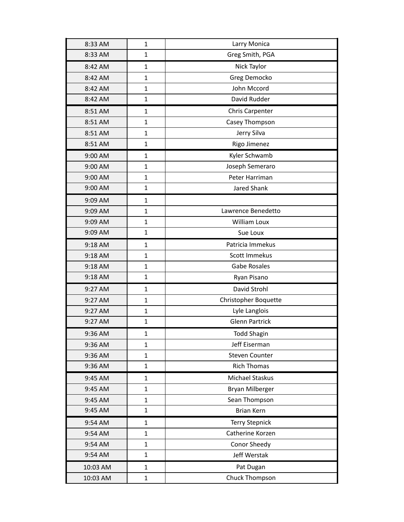| 8:33 AM  | 1            | Larry Monica          |
|----------|--------------|-----------------------|
| 8:33 AM  | 1            | Greg Smith, PGA       |
| 8:42 AM  | 1            | Nick Taylor           |
| 8:42 AM  | 1            | Greg Democko          |
| 8:42 AM  | 1            | John Mccord           |
| 8:42 AM  | 1            | David Rudder          |
| 8:51 AM  | 1            | Chris Carpenter       |
| 8:51 AM  | 1            | Casey Thompson        |
| 8:51 AM  | $\mathbf{1}$ | Jerry Silva           |
| 8:51 AM  | 1            | Rigo Jimenez          |
| 9:00 AM  | $\mathbf 1$  | Kyler Schwamb         |
| 9:00 AM  | 1            | Joseph Semeraro       |
| 9:00 AM  | 1            | Peter Harriman        |
| 9:00 AM  | 1            | Jared Shank           |
| 9:09 AM  | 1            |                       |
| 9:09 AM  | $\mathbf 1$  | Lawrence Benedetto    |
| 9:09 AM  | $\mathbf{1}$ | William Loux          |
| 9:09 AM  | 1            | Sue Loux              |
| 9:18 AM  | 1            | Patricia Immekus      |
| 9:18 AM  | 1            | Scott Immekus         |
| 9:18 AM  | $\mathbf 1$  | <b>Gabe Rosales</b>   |
| 9:18 AM  | 1            | Ryan Pisano           |
| 9:27 AM  | 1            | David Strohl          |
| 9:27 AM  | 1            | Christopher Boquette  |
| 9:27 AM  | 1            | Lyle Langlois         |
| 9:27 AM  | 1            | <b>Glenn Partrick</b> |
| 9:36 AM  | 1            | <b>Todd Shagin</b>    |
| 9:36 AM  | 1            | Jeff Eiserman         |
| 9:36 AM  | 1            | <b>Steven Counter</b> |
| 9:36 AM  | $\mathbf 1$  | <b>Rich Thomas</b>    |
| 9:45 AM  | 1            | Michael Staskus       |
| 9:45 AM  | $\mathbf 1$  | Bryan Milberger       |
| 9:45 AM  | $\mathbf{1}$ | Sean Thompson         |
| 9:45 AM  | 1            | <b>Brian Kern</b>     |
| 9:54 AM  | 1            | <b>Terry Stepnick</b> |
| 9:54 AM  | $\mathbf 1$  | Catherine Korzen      |
| 9:54 AM  | $\mathbf 1$  | Conor Sheedy          |
| 9:54 AM  | $\mathbf{1}$ | Jeff Werstak          |
| 10:03 AM | $\mathbf 1$  | Pat Dugan             |
| 10:03 AM | 1            | Chuck Thompson        |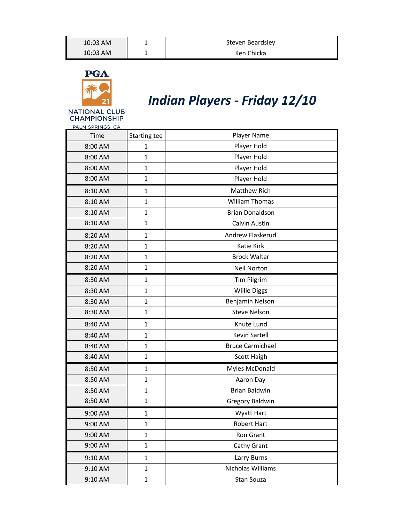| 10:03 AM   | Steven Beardsley |
|------------|------------------|
| $10:03$ AM | Ken Chicka       |





*Indian Players - Friday 12/10*

NATIONAL CLUB<br>CHAMPIONSHIP PALM SPRINGS, CA

| Time    | Starting tee | Player Name             |
|---------|--------------|-------------------------|
| 8:00 AM | 1            | Player Hold             |
| 8:00 AM | $\mathbf{1}$ | Player Hold             |
| 8:00 AM | $\mathbf{1}$ | Player Hold             |
| 8:00 AM | $\mathbf{1}$ | Player Hold             |
| 8:10 AM | $\mathbf{1}$ | Matthew Rich            |
| 8:10 AM | $\mathbf{1}$ | <b>William Thomas</b>   |
| 8:10 AM | $\mathbf{1}$ | <b>Brian Donaldson</b>  |
| 8:10 AM | $\mathbf{1}$ | Calvin Austin           |
| 8:20 AM | $\mathbf{1}$ | Andrew Flaskerud        |
| 8:20 AM | $\mathbf{1}$ | Katie Kirk              |
| 8:20 AM | $\mathbf{1}$ | <b>Brock Walter</b>     |
| 8:20 AM | $\mathbf{1}$ | Neil Norton             |
| 8:30 AM | $\mathbf{1}$ | <b>Tim Pilgrim</b>      |
| 8:30 AM | $\mathbf{1}$ | <b>Willie Diggs</b>     |
| 8:30 AM | $\mathbf{1}$ | Benjamin Nelson         |
| 8:30 AM | $\mathbf{1}$ | <b>Steve Nelson</b>     |
| 8:40 AM | $\mathbf{1}$ | Knute Lund              |
| 8:40 AM | $\mathbf{1}$ | Kevin Sartell           |
| 8:40 AM | $\mathbf{1}$ | <b>Bruce Carmichael</b> |
| 8:40 AM | $\mathbf{1}$ | Scott Haigh             |
| 8:50 AM | $\mathbf{1}$ | Myles McDonald          |
| 8:50 AM | $\mathbf{1}$ | Aaron Day               |
| 8:50 AM | $\mathbf{1}$ | <b>Brian Baldwin</b>    |
| 8:50 AM | $\mathbf{1}$ | <b>Gregory Baldwin</b>  |
| 9:00 AM | $\mathbf{1}$ | <b>Wyatt Hart</b>       |
| 9:00 AM | 1            | Robert Hart             |
| 9:00 AM | $\mathbf{1}$ | Ron Grant               |
| 9:00 AM | $\mathbf{1}$ | Cathy Grant             |
| 9:10 AM | $\mathbf{1}$ | Larry Burns             |
| 9:10 AM | $\mathbf 1$  | Nicholas Williams       |
| 9:10 AM | $\mathbf{1}$ | Stan Souza              |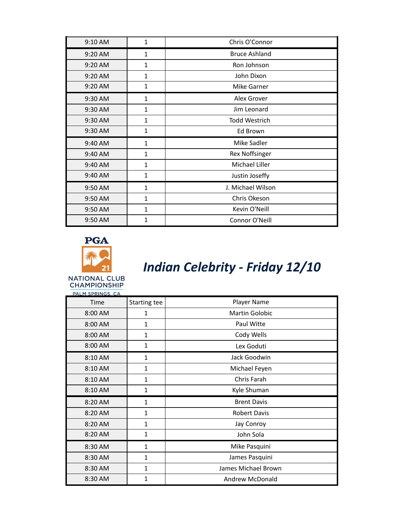| 9:10 AM   | 1            | Chris O'Connor       |
|-----------|--------------|----------------------|
| 9:20 AM   | $\mathbf{1}$ | <b>Bruce Ashland</b> |
| 9:20 AM   | 1            | Ron Johnson          |
| 9:20 AM   | 1            | John Dixon           |
| $9:20$ AM | 1            | <b>Mike Garner</b>   |
| 9:30 AM   | $\mathbf{1}$ | Alex Grover          |
| 9:30 AM   | $\mathbf{1}$ | Jim Leonard          |
| 9:30 AM   | $\mathbf{1}$ | <b>Todd Westrich</b> |
| 9:30 AM   | 1            | Ed Brown             |
| 9:40 AM   | $\mathbf{1}$ | Mike Sadler          |
| 9:40 AM   | $\mathbf{1}$ | Rex Noffsinger       |
| 9:40 AM   | 1            | Michael Liller       |
| 9:40 AM   | $\mathbf{1}$ | Justin Joseffy       |
| 9:50 AM   | $\mathbf{1}$ | J. Michael Wilson    |
| 9:50 AM   | $\mathbf{1}$ | Chris Okeson         |
| 9:50 AM   | $\mathbf{1}$ | Kevin O'Neill        |
| 9:50 AM   | 1            | Connor O'Neill       |



## *Indian Celebrity - Friday 12/10*

| PALM SPRINGS, CA |              |                        |
|------------------|--------------|------------------------|
| Time             | Starting tee | Player Name            |
| 8:00 AM          | 1            | <b>Martin Golobic</b>  |
| 8:00 AM          | $\mathbf{1}$ | Paul Witte             |
| 8:00 AM          | $\mathbf{1}$ | Cody Wells             |
| 8:00 AM          | $\mathbf{1}$ | Lex Goduti             |
| 8:10 AM          | $\mathbf{1}$ | Jack Goodwin           |
| 8:10 AM          | $\mathbf{1}$ | Michael Feyen          |
| 8:10 AM          | $\mathbf{1}$ | Chris Farah            |
| 8:10 AM          | 1            | Kyle Shuman            |
| 8:20 AM          | $\mathbf{1}$ | <b>Brent Davis</b>     |
| 8:20 AM          | $\mathbf{1}$ | <b>Robert Davis</b>    |
| 8:20 AM          | $\mathbf{1}$ | Jay Conroy             |
| 8:20 AM          | $\mathbf{1}$ | John Sola              |
| 8:30 AM          | $\mathbf{1}$ | Mike Pasquini          |
| 8:30 AM          | $\mathbf{1}$ | James Pasquini         |
| 8:30 AM          | $\mathbf{1}$ | James Michael Brown    |
| 8:30 AM          | 1            | <b>Andrew McDonald</b> |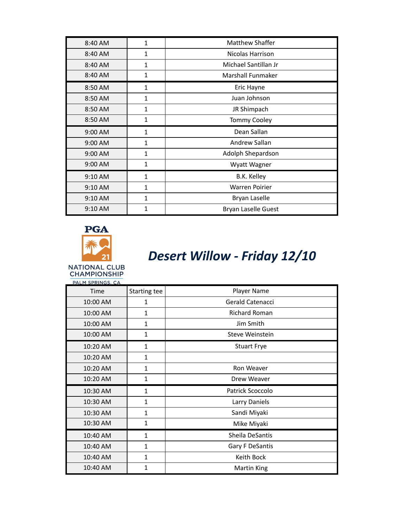| 8:40 AM   | $\mathbf{1}$ | <b>Matthew Shaffer</b> |
|-----------|--------------|------------------------|
| 8:40 AM   | 1            | Nicolas Harrison       |
| 8:40 AM   | 1            | Michael Santillan Jr   |
| 8:40 AM   | 1            | Marshall Funmaker      |
| 8:50 AM   | $\mathbf{1}$ | Eric Hayne             |
| 8:50 AM   | $\mathbf{1}$ | Juan Johnson           |
| 8:50 AM   | $\mathbf{1}$ | JR Shimpach            |
| 8:50 AM   | 1            | <b>Tommy Cooley</b>    |
|           |              |                        |
| 9:00 AM   | 1            | Dean Sallan            |
| 9:00 AM   | 1            | Andrew Sallan          |
| $9:00$ AM | 1            | Adolph Shepardson      |
| $9:00$ AM | 1            | Wyatt Wagner           |
| $9:10$ AM | 1            | B.K. Kelley            |
| $9:10$ AM | 1            | <b>Warren Poirier</b>  |
| $9:10$ AM | 1            | Bryan Laselle          |



#### *Desert Willow - Friday 12/10*

**NATIONAL CLUB CHAMPIONSHIP** 

PALM SPRINGS, CA Time Starting tee Starting tee Player Name 10:00 AM 1 1 discrete 1 discrete 1 discrete 1 discrete 1 discrete 1 discrete 1 discrete 1 discrete 1 discrete 10:00 AM 1 1 1 Richard Roman 10:00 AM 1 1 Jim Smith 10:00 AM 1 1 1 Steve Weinstein 10:20 AM 1 1 Stuart Frye 10:20 AM 1 10:20 AM 1 1 Ron Weaver 10:20 AM 1 1 Drew Weaver 10:30 AM 1 1 Patrick Scoccolo 10:30 AM 1 1 Larry Daniels 10:30 AM 1 1 Sandi Miyaki 10:30 AM 1 1 Mike Miyaki 10:40 AM 1 1 | Sheila DeSantis 10:40 AM 1 1 distribution of the Gary F DeSantis 10:40 AM 1 1 | Keith Bock 10:40 AM 1 1 | Martin King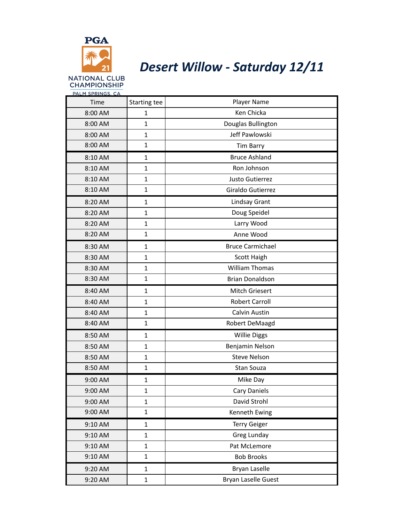

#### *Desert Willow - Saturday 12/11*

PALM SPRINGS, CA Time Starting tee Starting tee Player Name 8:00 AM 1 1 V Ken Chicka 8:00 AM 1 1 | Douglas Bullington 8:00 AM 1 1 Jeff Pawlowski 8:00 AM 1 1 Tim Barry 8:10 AM 1 1 Bruce Ashland 8:10 AM 1 1 Ron Johnson 8:10 AM 1 1 Justo Gutierrez 8:10 AM 1 1 discriming 1 discriming 1 discriming 1 discriming 1 discriming 1 discriming 1 discriming 1 discri 8:20 AM 1 1 Lindsay Grant 8:20 AM 1 1 Doug Speidel 8:20 AM 1 1 Larry Wood 8:20 AM 1 1 Anne Wood 8:30 AM 1 1 Bruce Carmichael 8:30 AM 1 1 Scott Haigh 8:30 AM 1 1 Villiam Thomas 8:30 AM 1 1 Brian Donaldson 8:40 AM 1 1 | Mitch Griesert 8:40 AM 1 1 Robert Carroll 8:40 AM 1 1 Calvin Austin 8:40 AM 1 1 | Robert DeMaagd 8:50 AM 1 1 | Willie Diggs 8:50 AM | 1 | Benjamin Nelson 8:50 AM 1 1 Steve Nelson 8:50 AM 1 1 Stan Souza 9:00 AM 1 1 Mike Day 9:00 AM 1 1 Cary Daniels 9:00 AM 1 1 David Strohl 9:00 AM 1 1 | Kenneth Ewing 9:10 AM 1 1 | Terry Geiger 9:10 AM 1 1 Greg Lunday 9:10 AM 1 1 Pat McLemore 9:10 AM 1 1 Bob Brooks 9:20 AM 1 1 Bryan Laselle 9:20 AM 1 1 | Bryan Laselle Guest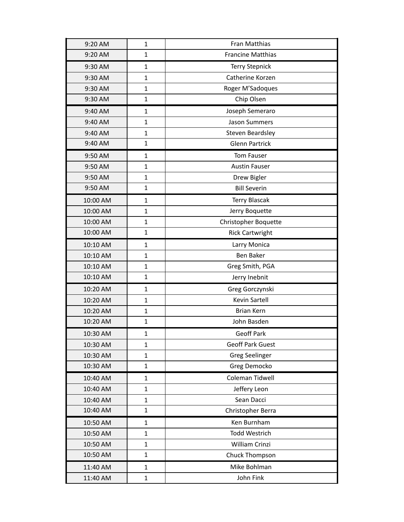| 9:20 AM  | $\mathbf{1}$ | Fran Matthias            |
|----------|--------------|--------------------------|
| 9:20 AM  | $\mathbf{1}$ | <b>Francine Matthias</b> |
| 9:30 AM  | $\mathbf{1}$ | <b>Terry Stepnick</b>    |
| 9:30 AM  | $\mathbf{1}$ | Catherine Korzen         |
| 9:30 AM  | $\mathbf{1}$ | Roger M'Sadoques         |
| 9:30 AM  | $\mathbf{1}$ | Chip Olsen               |
| 9:40 AM  | $\mathbf{1}$ | Joseph Semeraro          |
| 9:40 AM  | $\mathbf{1}$ | Jason Summers            |
| 9:40 AM  | $\mathbf{1}$ | Steven Beardsley         |
| 9:40 AM  | $\mathbf{1}$ | <b>Glenn Partrick</b>    |
| 9:50 AM  | $\mathbf{1}$ | Tom Fauser               |
| 9:50 AM  | $\mathbf{1}$ | <b>Austin Fauser</b>     |
| 9:50 AM  | 1            | Drew Bigler              |
| 9:50 AM  | $\mathbf{1}$ | <b>Bill Severin</b>      |
| 10:00 AM | 1            | <b>Terry Blascak</b>     |
| 10:00 AM | $\mathbf{1}$ | Jerry Boquette           |
| 10:00 AM | $\mathbf{1}$ | Christopher Boquette     |
| 10:00 AM | $\mathbf{1}$ | <b>Rick Cartwright</b>   |
| 10:10 AM | $\mathbf{1}$ | Larry Monica             |
| 10:10 AM | $\mathbf{1}$ | Ben Baker                |
| 10:10 AM | $\mathbf{1}$ | Greg Smith, PGA          |
| 10:10 AM | $\mathbf{1}$ | Jerry Inebnit            |
| 10:20 AM | $\mathbf{1}$ | Greg Gorczynski          |
| 10:20 AM | 1            | Kevin Sartell            |
| 10:20 AM | 1            | <b>Brian Kern</b>        |
| 10:20 AM | $\mathbf{1}$ | John Basden              |
| 10:30 AM | $\mathbf 1$  | Geoff Park               |
| 10:30 AM | $\mathbf{1}$ | <b>Geoff Park Guest</b>  |
| 10:30 AM | 1            | Greg Seelinger           |
| 10:30 AM | $\mathbf{1}$ | Greg Democko             |
| 10:40 AM | 1            | Coleman Tidwell          |
| 10:40 AM | $\mathbf{1}$ | Jeffery Leon             |
| 10:40 AM | $\mathbf{1}$ | Sean Dacci               |
| 10:40 AM | 1            | Christopher Berra        |
| 10:50 AM | 1            | Ken Burnham              |
| 10:50 AM | $\mathbf{1}$ | Todd Westrich            |
| 10:50 AM | $\mathbf{1}$ | William Crinzi           |
| 10:50 AM | $\mathbf{1}$ | Chuck Thompson           |
| 11:40 AM | $\mathbf{1}$ | Mike Bohlman             |
| 11:40 AM | $\mathbf{1}$ | John Fink                |